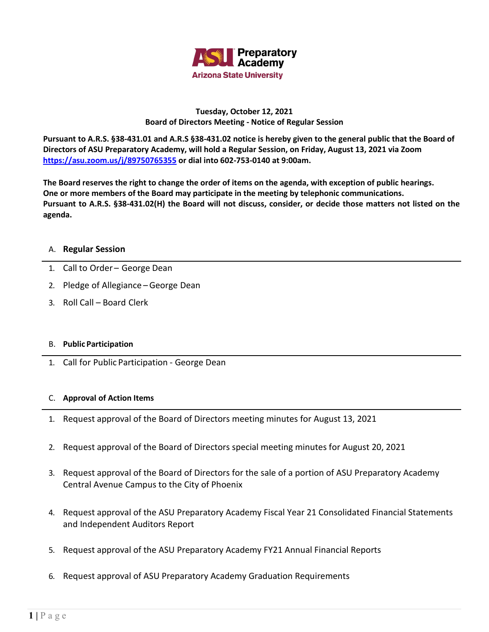

## **Tuesday, October 12, 2021 Board of Directors Meeting - Notice of Regular Session**

**Pursuant to A.R.S. §38-431.01 and A.R.S §38-431.02 notice is hereby given to the general public that the Board of Directors of ASU Preparatory Academy, will hold a Regular Session, on Friday, August 13, 2021 via Zoom <https://asu.zoom.us/j/89750765355> or dial into 602-753-0140 at 9:00am.**

**The Board reserves the right to change the order of items on the agenda, with exception of public hearings. One or more members of the Board may participate in the meeting by telephonic communications. Pursuant to A.R.S. §38-431.02(H) the Board will not discuss, consider, or decide those matters not listed on the agenda.**

## A. **Regular Session**

- 1. Call to Order George Dean
- 2. Pledge of Allegiance –George Dean
- 3. Roll Call Board Clerk

## B. **Public Participation**

1. Call for Public Participation - George Dean

## C. **Approval of Action Items**

- 1. Request approval of the Board of Directors meeting minutes for August 13, 2021
- 2. Request approval of the Board of Directors special meeting minutes for August 20, 2021
- 3. Request approval of the Board of Directors for the sale of a portion of ASU Preparatory Academy Central Avenue Campus to the City of Phoenix
- 4. Request approval of the ASU Preparatory Academy Fiscal Year 21 Consolidated Financial Statements and Independent Auditors Report
- 5. Request approval of the ASU Preparatory Academy FY21 Annual Financial Reports
- 6. Request approval of ASU Preparatory Academy Graduation Requirements